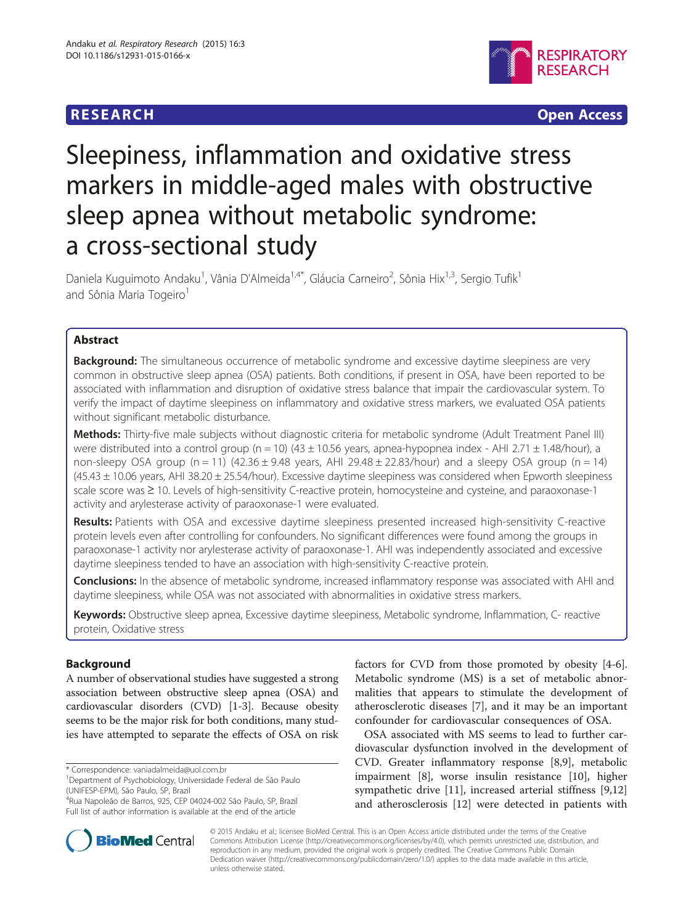# **RESEARCH RESEARCH** *CHECKER CHECKER CHECKER CHECKER CHECKER CHECKER CHECKER CHECKER CHECKER CHECKER CHECKER*



# Sleepiness, inflammation and oxidative stress markers in middle-aged males with obstructive sleep apnea without metabolic syndrome: a cross-sectional study

Daniela Kuguimoto Andaku<sup>1</sup>, Vânia D'Almeida<sup>1,4\*</sup>, Gláucia Carneiro<sup>2</sup>, Sônia Hix<sup>1,3</sup>, Sergio Tufik<sup>1</sup> and Sônia Maria Togeiro<sup>1</sup>

# Abstract

Background: The simultaneous occurrence of metabolic syndrome and excessive daytime sleepiness are very common in obstructive sleep apnea (OSA) patients. Both conditions, if present in OSA, have been reported to be associated with inflammation and disruption of oxidative stress balance that impair the cardiovascular system. To verify the impact of daytime sleepiness on inflammatory and oxidative stress markers, we evaluated OSA patients without significant metabolic disturbance.

Methods: Thirty-five male subjects without diagnostic criteria for metabolic syndrome (Adult Treatment Panel III) were distributed into a control group (n = 10) (43  $\pm$  10.56 years, apnea-hypopnea index - AHI 2.71  $\pm$  1.48/hour), a non-sleepy OSA group (n = 11) (42.36 ± 9.48 years, AHI 29.48  $\pm$  22.83/hour) and a sleepy OSA group (n = 14) (45.43 ± 10.06 years, AHI 38.20 ± 25.54/hour). Excessive daytime sleepiness was considered when Epworth sleepiness scale score was ≥ 10. Levels of high-sensitivity C-reactive protein, homocysteine and cysteine, and paraoxonase-1 activity and arylesterase activity of paraoxonase-1 were evaluated.

Results: Patients with OSA and excessive daytime sleepiness presented increased high-sensitivity C-reactive protein levels even after controlling for confounders. No significant differences were found among the groups in paraoxonase-1 activity nor arylesterase activity of paraoxonase-1. AHI was independently associated and excessive daytime sleepiness tended to have an association with high-sensitivity C-reactive protein.

**Conclusions:** In the absence of metabolic syndrome, increased inflammatory response was associated with AHI and daytime sleepiness, while OSA was not associated with abnormalities in oxidative stress markers.

Keywords: Obstructive sleep apnea, Excessive daytime sleepiness, Metabolic syndrome, Inflammation, C- reactive protein, Oxidative stress

# Background

A number of observational studies have suggested a strong association between obstructive sleep apnea (OSA) and cardiovascular disorders (CVD) [[1](#page-4-0)-[3\]](#page-5-0). Because obesity seems to be the major risk for both conditions, many studies have attempted to separate the effects of OSA on risk

\* Correspondence: [vaniadalmeida@uol.com.br](mailto:vaniadalmeida@uol.com.br) <sup>1</sup>



OSA associated with MS seems to lead to further cardiovascular dysfunction involved in the development of CVD. Greater inflammatory response [[8,9\]](#page-5-0), metabolic impairment [[8\]](#page-5-0), worse insulin resistance [\[10](#page-5-0)], higher sympathetic drive [[11\]](#page-5-0), increased arterial stiffness [[9](#page-5-0),[12](#page-5-0)] and atherosclerosis [[12\]](#page-5-0) were detected in patients with



© 2015 Andaku et al.; licensee BioMed Central. This is an Open Access article distributed under the terms of the Creative Commons Attribution License [\(http://creativecommons.org/licenses/by/4.0\)](http://creativecommons.org/licenses/by/4.0), which permits unrestricted use, distribution, and reproduction in any medium, provided the original work is properly credited. The Creative Commons Public Domain Dedication waiver [\(http://creativecommons.org/publicdomain/zero/1.0/](http://creativecommons.org/publicdomain/zero/1.0/)) applies to the data made available in this article, unless otherwise stated.

Department of Psychobiology, Universidade Federal de São Paulo (UNIFESP-EPM), São Paulo, SP, Brazil

<sup>4</sup> Rua Napoleão de Barros, 925, CEP 04024-002 São Paulo, SP, Brazil Full list of author information is available at the end of the article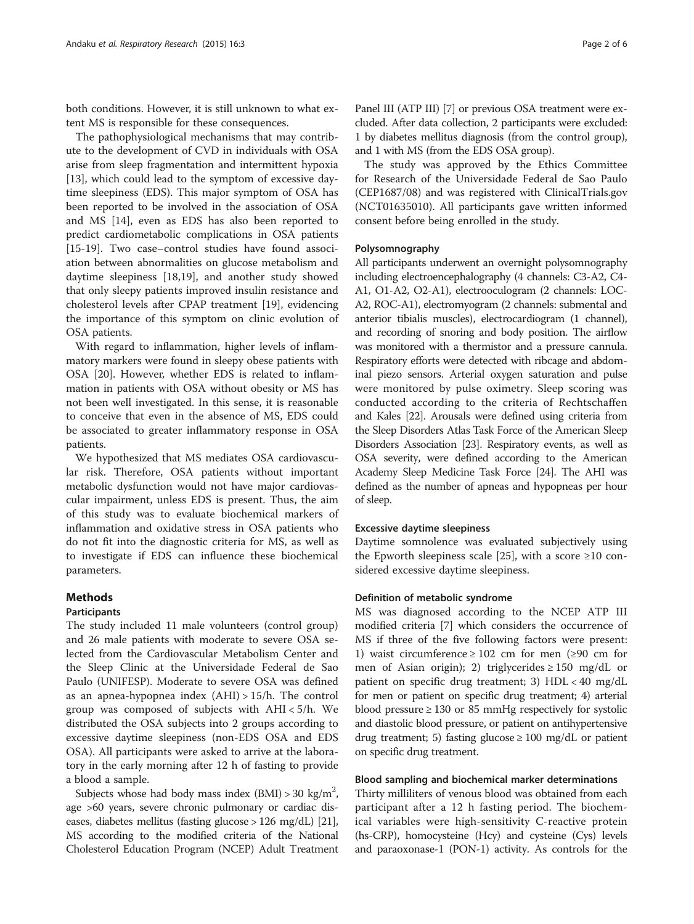both conditions. However, it is still unknown to what extent MS is responsible for these consequences.

The pathophysiological mechanisms that may contribute to the development of CVD in individuals with OSA arise from sleep fragmentation and intermittent hypoxia [[13\]](#page-5-0), which could lead to the symptom of excessive daytime sleepiness (EDS). This major symptom of OSA has been reported to be involved in the association of OSA and MS [[14\]](#page-5-0), even as EDS has also been reported to predict cardiometabolic complications in OSA patients [[15-19](#page-5-0)]. Two case–control studies have found association between abnormalities on glucose metabolism and daytime sleepiness [\[18,19\]](#page-5-0), and another study showed that only sleepy patients improved insulin resistance and cholesterol levels after CPAP treatment [[19\]](#page-5-0), evidencing the importance of this symptom on clinic evolution of OSA patients.

With regard to inflammation, higher levels of inflammatory markers were found in sleepy obese patients with OSA [[20\]](#page-5-0). However, whether EDS is related to inflammation in patients with OSA without obesity or MS has not been well investigated. In this sense, it is reasonable to conceive that even in the absence of MS, EDS could be associated to greater inflammatory response in OSA patients.

We hypothesized that MS mediates OSA cardiovascular risk. Therefore, OSA patients without important metabolic dysfunction would not have major cardiovascular impairment, unless EDS is present. Thus, the aim of this study was to evaluate biochemical markers of inflammation and oxidative stress in OSA patients who do not fit into the diagnostic criteria for MS, as well as to investigate if EDS can influence these biochemical parameters.

# Methods

#### Participants

The study included 11 male volunteers (control group) and 26 male patients with moderate to severe OSA selected from the Cardiovascular Metabolism Center and the Sleep Clinic at the Universidade Federal de Sao Paulo (UNIFESP). Moderate to severe OSA was defined as an apnea-hypopnea index (AHI) > 15/h. The control group was composed of subjects with AHI < 5/h. We distributed the OSA subjects into 2 groups according to excessive daytime sleepiness (non-EDS OSA and EDS OSA). All participants were asked to arrive at the laboratory in the early morning after 12 h of fasting to provide a blood a sample.

Subjects whose had body mass index  $(BMI) > 30 \text{ kg/m}^2$ , age >60 years, severe chronic pulmonary or cardiac diseases, diabetes mellitus (fasting glucose > 126 mg/dL) [[21](#page-5-0)], MS according to the modified criteria of the National Cholesterol Education Program (NCEP) Adult Treatment

Panel III (ATP III) [\[7\]](#page-5-0) or previous OSA treatment were excluded. After data collection, 2 participants were excluded: 1 by diabetes mellitus diagnosis (from the control group), and 1 with MS (from the EDS OSA group).

The study was approved by the Ethics Committee for Research of the Universidade Federal de Sao Paulo (CEP1687/08) and was registered with ClinicalTrials.gov (NCT01635010). All participants gave written informed consent before being enrolled in the study.

#### Polysomnography

All participants underwent an overnight polysomnography including electroencephalography (4 channels: C3-A2, C4- A1, O1-A2, O2-A1), electrooculogram (2 channels: LOC-A2, ROC-A1), electromyogram (2 channels: submental and anterior tibialis muscles), electrocardiogram (1 channel), and recording of snoring and body position. The airflow was monitored with a thermistor and a pressure cannula. Respiratory efforts were detected with ribcage and abdominal piezo sensors. Arterial oxygen saturation and pulse were monitored by pulse oximetry. Sleep scoring was conducted according to the criteria of Rechtschaffen and Kales [\[22](#page-5-0)]. Arousals were defined using criteria from the Sleep Disorders Atlas Task Force of the American Sleep Disorders Association [\[23\]](#page-5-0). Respiratory events, as well as OSA severity, were defined according to the American Academy Sleep Medicine Task Force [\[24\]](#page-5-0). The AHI was defined as the number of apneas and hypopneas per hour of sleep.

#### Excessive daytime sleepiness

Daytime somnolence was evaluated subjectively using the Epworth sleepiness scale [[25\]](#page-5-0), with a score  $\geq 10$  considered excessive daytime sleepiness.

#### Definition of metabolic syndrome

MS was diagnosed according to the NCEP ATP III modified criteria [\[7\]](#page-5-0) which considers the occurrence of MS if three of the five following factors were present: 1) waist circumference  $\geq 102$  cm for men ( $\geq 90$  cm for men of Asian origin); 2) triglycerides  $\geq 150$  mg/dL or patient on specific drug treatment; 3) HDL < 40 mg/dL for men or patient on specific drug treatment; 4) arterial blood pressure ≥ 130 or 85 mmHg respectively for systolic and diastolic blood pressure, or patient on antihypertensive drug treatment; 5) fasting glucose  $\geq 100$  mg/dL or patient on specific drug treatment.

# Blood sampling and biochemical marker determinations

Thirty milliliters of venous blood was obtained from each participant after a 12 h fasting period. The biochemical variables were high-sensitivity C-reactive protein (hs-CRP), homocysteine (Hcy) and cysteine (Cys) levels and paraoxonase-1 (PON-1) activity. As controls for the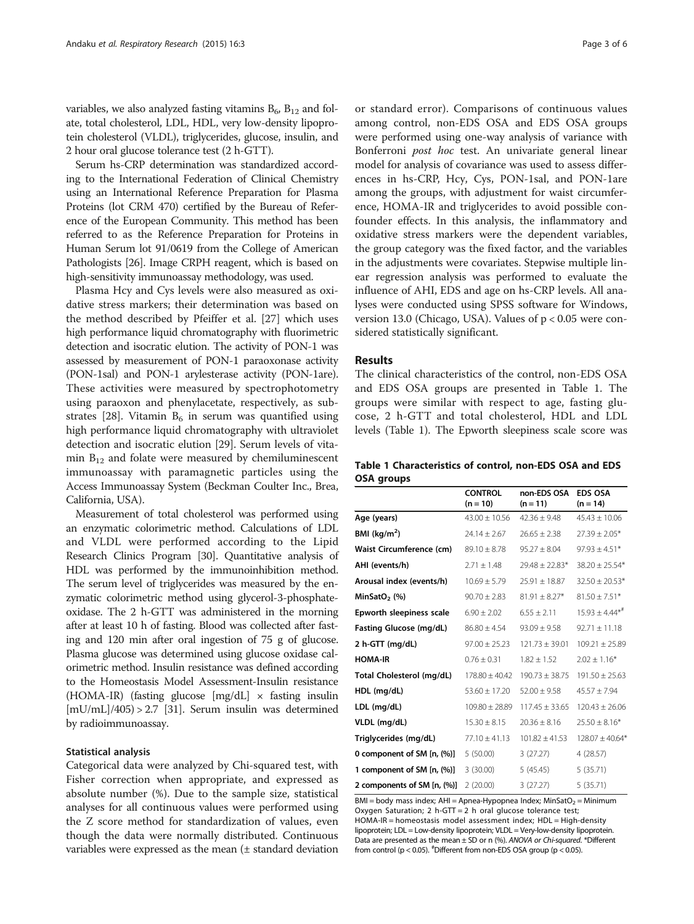<span id="page-2-0"></span>variables, we also analyzed fasting vitamins  $B_6$ ,  $B_{12}$  and folate, total cholesterol, LDL, HDL, very low-density lipoprotein cholesterol (VLDL), triglycerides, glucose, insulin, and 2 hour oral glucose tolerance test (2 h-GTT).

Serum hs-CRP determination was standardized according to the International Federation of Clinical Chemistry using an International Reference Preparation for Plasma Proteins (lot CRM 470) certified by the Bureau of Reference of the European Community. This method has been referred to as the Reference Preparation for Proteins in Human Serum lot 91/0619 from the College of American Pathologists [\[26\]](#page-5-0). Image CRPH reagent, which is based on high-sensitivity immunoassay methodology, was used.

Plasma Hcy and Cys levels were also measured as oxidative stress markers; their determination was based on the method described by Pfeiffer et al. [\[27](#page-5-0)] which uses high performance liquid chromatography with fluorimetric detection and isocratic elution. The activity of PON-1 was assessed by measurement of PON-1 paraoxonase activity (PON-1sal) and PON-1 arylesterase activity (PON-1are). These activities were measured by spectrophotometry using paraoxon and phenylacetate, respectively, as sub-strates [[28](#page-5-0)]. Vitamin  $B_6$  in serum was quantified using high performance liquid chromatography with ultraviolet detection and isocratic elution [[29\]](#page-5-0). Serum levels of vitamin  $B_{12}$  and folate were measured by chemiluminescent immunoassay with paramagnetic particles using the Access Immunoassay System (Beckman Coulter Inc., Brea, California, USA).

Measurement of total cholesterol was performed using an enzymatic colorimetric method. Calculations of LDL and VLDL were performed according to the Lipid Research Clinics Program [[30](#page-5-0)]. Quantitative analysis of HDL was performed by the immunoinhibition method. The serum level of triglycerides was measured by the enzymatic colorimetric method using glycerol-3-phosphateoxidase. The 2 h-GTT was administered in the morning after at least 10 h of fasting. Blood was collected after fasting and 120 min after oral ingestion of 75 g of glucose. Plasma glucose was determined using glucose oxidase calorimetric method. Insulin resistance was defined according to the Homeostasis Model Assessment-Insulin resistance (HOMA-IR) (fasting glucose  $[mg/dL] \times$  fasting insulin  $[mU/mL]/405$  > 2.7 [\[31](#page-5-0)]. Serum insulin was determined by radioimmunoassay.

# Statistical analysis

Categorical data were analyzed by Chi-squared test, with Fisher correction when appropriate, and expressed as absolute number (%). Due to the sample size, statistical analyses for all continuous values were performed using the Z score method for standardization of values, even though the data were normally distributed. Continuous variables were expressed as the mean (± standard deviation

or standard error). Comparisons of continuous values among control, non-EDS OSA and EDS OSA groups were performed using one-way analysis of variance with Bonferroni post hoc test. An univariate general linear model for analysis of covariance was used to assess differences in hs-CRP, Hcy, Cys, PON-1sal, and PON-1are among the groups, with adjustment for waist circumference, HOMA-IR and triglycerides to avoid possible confounder effects. In this analysis, the inflammatory and oxidative stress markers were the dependent variables, the group category was the fixed factor, and the variables in the adjustments were covariates. Stepwise multiple linear regression analysis was performed to evaluate the influence of AHI, EDS and age on hs-CRP levels. All analyses were conducted using SPSS software for Windows, version 13.0 (Chicago, USA). Values of  $p < 0.05$  were considered statistically significant.

## Results

The clinical characteristics of the control, non-EDS OSA and EDS OSA groups are presented in Table 1. The groups were similar with respect to age, fasting glucose, 2 h-GTT and total cholesterol, HDL and LDL levels (Table 1). The Epworth sleepiness scale score was

|                   | Table 1 Characteristics of control, non-EDS OSA and EDS |  |  |  |
|-------------------|---------------------------------------------------------|--|--|--|
| <b>OSA groups</b> |                                                         |  |  |  |

|                             | <b>CONTROL</b><br>$(n = 10)$ | non-EDS OSA<br>$(n = 11)$ | <b>EDS OSA</b><br>$(n = 14)$ |
|-----------------------------|------------------------------|---------------------------|------------------------------|
| Age (years)                 | $43.00 \pm 10.56$            | $42.36 + 9.48$            | $45.43 + 10.06$              |
| BMI $(kq/m2)$               | $24.14 \pm 2.67$             | $26.65 \pm 2.38$          | $27.39 \pm 2.05*$            |
| Waist Circumference (cm)    | $89.10 \pm 8.78$             | $95.27 \pm 8.04$          | $97.93 \pm 4.51*$            |
| AHI (events/h)              | $2.71 \pm 1.48$              | $29.48 \pm 22.83*$        | $38.20 \pm 25.54*$           |
| Arousal index (events/h)    | $10.69 \pm 5.79$             | $25.91 \pm 18.87$         | $32.50 \pm 20.53*$           |
| MinSatO <sub>2</sub> $(\%)$ | $90.70 \pm 2.83$             | $81.91 \pm 8.27$ *        | $81.50 \pm 7.51*$            |
| Epworth sleepiness scale    | $6.90 \pm 2.02$              | $6.55 \pm 2.11$           | $15.93 \pm 4.44**$           |
| Fasting Glucose (mg/dL)     | $86.80 \pm 4.54$             | $93.09 \pm 9.58$          | $92.71 \pm 11.18$            |
| 2 h-GTT (mg/dL)             | $97.00 \pm 25.23$            | $121.73 \pm 39.01$        | $109.21 \pm 25.89$           |
| <b>HOMA-IR</b>              | $0.76 \pm 0.31$              | $1.82 + 1.52$             | $2.02 \pm 1.16*$             |
| Total Cholesterol (mg/dL)   | $178.80 \pm 40.42$           | $190.73 \pm 38.75$        | $191.50 \pm 25.63$           |
| HDL (mg/dL)                 | $53.60 \pm 17.20$            | $52.00 \pm 9.58$          | $45.57 + 7.94$               |
| LDL (mg/dL)                 | $109.80 \pm 28.89$           | $117.45 \pm 33.65$        | $120.43 \pm 26.06$           |
| VLDL (mg/dL)                | $15.30 \pm 8.15$             | $20.36 + 8.16$            | $25.50 \pm 8.16*$            |
| Triglycerides (mg/dL)       | $77.10 \pm 41.13$            | $101.82 + 41.53$          | $128.07 + 40.64*$            |
| 0 component of SM [n, (%)]  | 5(50.00)                     | 3(27.27)                  | 4 (28.57)                    |
| 1 component of SM [n, (%)]  | 3(30.00)                     | 5(45.45)                  | 5(35.71)                     |
| 2 components of SM [n, (%)] | 2(20.00)                     | 3(27.27)                  | 5(35.71)                     |

 $BMI = body$  mass index; AHI = Apnea-Hypopnea Index; MinSatO<sub>2</sub> = Minimum Oxygen Saturation; 2 h-GTT = 2 h oral glucose tolerance test; HOMA-IR = homeostasis model assessment index; HDL = High-density lipoprotein; LDL = Low-density lipoprotein; VLDL = Very-low-density lipoprotein. Data are presented as the mean ± SD or n (%). ANOVA or Chi-squared. \*Different from control ( $p < 0.05$ ).  $*$ Different from non-EDS OSA group ( $p < 0.05$ ).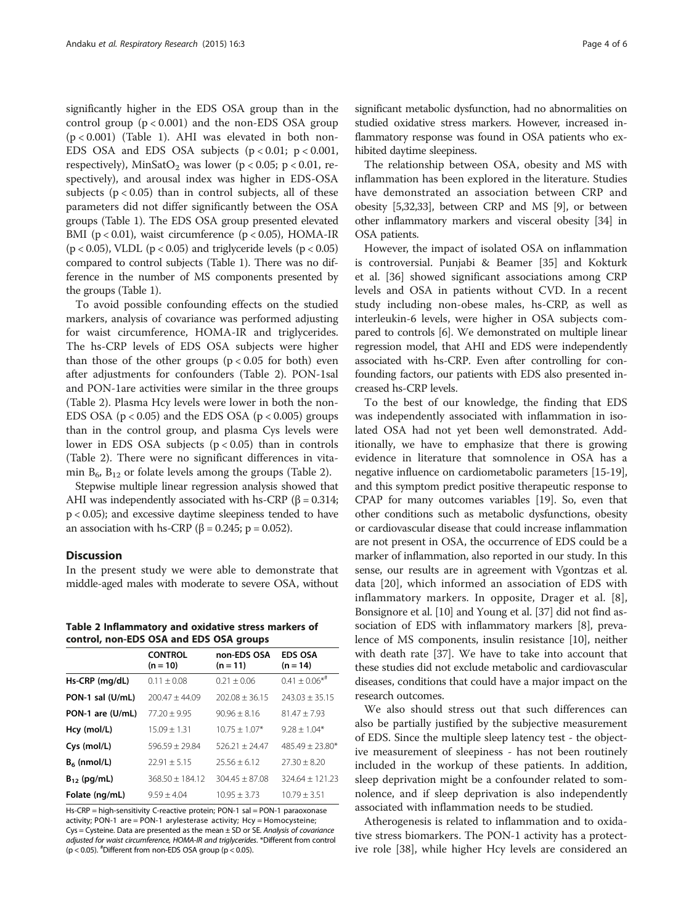significantly higher in the EDS OSA group than in the control group  $(p < 0.001)$  and the non-EDS OSA group  $(p < 0.001)$  (Table [1](#page-2-0)). AHI was elevated in both non-EDS OSA and EDS OSA subjects  $(p < 0.01; p < 0.001,$ respectively), MinSatO<sub>2</sub> was lower ( $p < 0.05$ ;  $p < 0.01$ , respectively), and arousal index was higher in EDS-OSA subjects ( $p < 0.05$ ) than in control subjects, all of these parameters did not differ significantly between the OSA groups (Table [1\)](#page-2-0). The EDS OSA group presented elevated BMI (p < 0.01), waist circumference (p < 0.05), HOMA-IR  $(p < 0.05)$ , VLDL  $(p < 0.05)$  and triglyceride levels  $(p < 0.05)$ compared to control subjects (Table [1\)](#page-2-0). There was no difference in the number of MS components presented by the groups (Table [1](#page-2-0)).

To avoid possible confounding effects on the studied markers, analysis of covariance was performed adjusting for waist circumference, HOMA-IR and triglycerides. The hs-CRP levels of EDS OSA subjects were higher than those of the other groups  $(p < 0.05$  for both) even after adjustments for confounders (Table 2). PON-1sal and PON-1are activities were similar in the three groups (Table 2). Plasma Hcy levels were lower in both the non-EDS OSA ( $p < 0.05$ ) and the EDS OSA ( $p < 0.005$ ) groups than in the control group, and plasma Cys levels were lower in EDS OSA subjects  $(p < 0.05)$  than in controls (Table 2). There were no significant differences in vitamin  $B_6$ ,  $B_{12}$  or folate levels among the groups (Table 2).

Stepwise multiple linear regression analysis showed that AHI was independently associated with hs-CRP (β =  $0.314$ ; p < 0.05); and excessive daytime sleepiness tended to have an association with hs-CRP (β = 0.245; p = 0.052).

# **Discussion**

In the present study we were able to demonstrate that middle-aged males with moderate to severe OSA, without

Table 2 Inflammatory and oxidative stress markers of control, non-EDS OSA and EDS OSA groups

|                  | <b>CONTROL</b><br>$(n = 10)$ | non-EDS OSA<br>$(n = 11)$ | <b>EDS OSA</b><br>$(n = 14)$   |
|------------------|------------------------------|---------------------------|--------------------------------|
| Hs-CRP (mg/dL)   | $0.11 + 0.08$                | $0.21 + 0.06$             | $0.41 \pm 0.06$ * <sup>#</sup> |
| PON-1 sal (U/mL) | $200.47 \pm 44.09$           | $202.08 + 36.15$          | $243.03 \pm 35.15$             |
| PON-1 are (U/mL) | $77.20 + 9.95$               | $90.96 + 8.16$            | $81.47 + 7.93$                 |
| Hcy (mol/L)      | $15.09 + 1.31$               | $10.75 + 1.07*$           | $9.28 + 1.04*$                 |
| Cys (mol/L)      | $596.59 + 29.84$             | $526.21 + 24.47$          | $485.49 + 23.80*$              |
| $B_6$ (nmol/L)   | $22.91 + 5.15$               | $25.56 + 6.12$            | $27.30 + 8.20$                 |
| $B_{12}$ (pg/mL) | $368.50 + 184.12$            | $304.45 \pm 87.08$        | $324.64 + 121.23$              |
| Folate (ng/mL)   | $9.59 + 4.04$                | $10.95 + 3.73$            | $10.79 + 3.51$                 |

Hs-CRP = high-sensitivity C-reactive protein; PON-1 sal = PON-1 paraoxonase activity; PON-1 are = PON-1 arylesterase activity; Hcy = Homocysteine; Cys = Cysteine. Data are presented as the mean  $\pm$  SD or SE. Analysis of covariance adjusted for waist circumference, HOMA-IR and triglycerides. \*Different from control  $(p < 0.05)$ .  $*$ Different from non-EDS OSA group  $(p < 0.05)$ .

significant metabolic dysfunction, had no abnormalities on studied oxidative stress markers. However, increased inflammatory response was found in OSA patients who exhibited daytime sleepiness.

The relationship between OSA, obesity and MS with inflammation has been explored in the literature. Studies have demonstrated an association between CRP and obesity [\[5,32,33\]](#page-5-0), between CRP and MS [\[9\]](#page-5-0), or between other inflammatory markers and visceral obesity [\[34\]](#page-5-0) in OSA patients.

However, the impact of isolated OSA on inflammation is controversial. Punjabi & Beamer [[35\]](#page-5-0) and Kokturk et al. [\[36](#page-5-0)] showed significant associations among CRP levels and OSA in patients without CVD. In a recent study including non-obese males, hs-CRP, as well as interleukin-6 levels, were higher in OSA subjects compared to controls [\[6](#page-5-0)]. We demonstrated on multiple linear regression model, that AHI and EDS were independently associated with hs-CRP. Even after controlling for confounding factors, our patients with EDS also presented increased hs-CRP levels.

To the best of our knowledge, the finding that EDS was independently associated with inflammation in isolated OSA had not yet been well demonstrated. Additionally, we have to emphasize that there is growing evidence in literature that somnolence in OSA has a negative influence on cardiometabolic parameters [[15](#page-5-0)-[19](#page-5-0)], and this symptom predict positive therapeutic response to CPAP for many outcomes variables [[19](#page-5-0)]. So, even that other conditions such as metabolic dysfunctions, obesity or cardiovascular disease that could increase inflammation are not present in OSA, the occurrence of EDS could be a marker of inflammation, also reported in our study. In this sense, our results are in agreement with Vgontzas et al. data [[20\]](#page-5-0), which informed an association of EDS with inflammatory markers. In opposite, Drager et al. [[8](#page-5-0)], Bonsignore et al. [[10](#page-5-0)] and Young et al. [\[37\]](#page-5-0) did not find association of EDS with inflammatory markers [[8\]](#page-5-0), prevalence of MS components, insulin resistance [[10](#page-5-0)], neither with death rate [\[37\]](#page-5-0). We have to take into account that these studies did not exclude metabolic and cardiovascular diseases, conditions that could have a major impact on the research outcomes.

We also should stress out that such differences can also be partially justified by the subjective measurement of EDS. Since the multiple sleep latency test - the objective measurement of sleepiness - has not been routinely included in the workup of these patients. In addition, sleep deprivation might be a confounder related to somnolence, and if sleep deprivation is also independently associated with inflammation needs to be studied.

Atherogenesis is related to inflammation and to oxidative stress biomarkers. The PON-1 activity has a protective role [[38\]](#page-5-0), while higher Hcy levels are considered an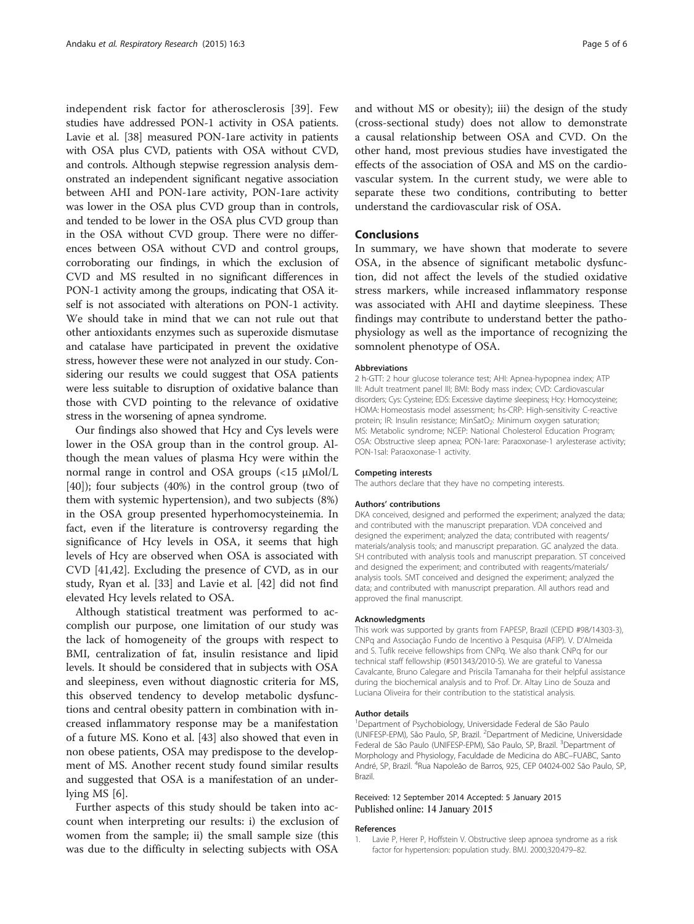<span id="page-4-0"></span>independent risk factor for atherosclerosis [[39](#page-5-0)]. Few studies have addressed PON-1 activity in OSA patients. Lavie et al. [[38](#page-5-0)] measured PON-1are activity in patients with OSA plus CVD, patients with OSA without CVD, and controls. Although stepwise regression analysis demonstrated an independent significant negative association between AHI and PON-1are activity, PON-1are activity was lower in the OSA plus CVD group than in controls, and tended to be lower in the OSA plus CVD group than in the OSA without CVD group. There were no differences between OSA without CVD and control groups, corroborating our findings, in which the exclusion of CVD and MS resulted in no significant differences in PON-1 activity among the groups, indicating that OSA itself is not associated with alterations on PON-1 activity. We should take in mind that we can not rule out that other antioxidants enzymes such as superoxide dismutase and catalase have participated in prevent the oxidative stress, however these were not analyzed in our study. Considering our results we could suggest that OSA patients were less suitable to disruption of oxidative balance than those with CVD pointing to the relevance of oxidative stress in the worsening of apnea syndrome.

Our findings also showed that Hcy and Cys levels were lower in the OSA group than in the control group. Although the mean values of plasma Hcy were within the normal range in control and OSA groups (<15 μMol/L [[40\]](#page-5-0)); four subjects (40%) in the control group (two of them with systemic hypertension), and two subjects (8%) in the OSA group presented hyperhomocysteinemia. In fact, even if the literature is controversy regarding the significance of Hcy levels in OSA, it seems that high levels of Hcy are observed when OSA is associated with CVD [\[41,42](#page-5-0)]. Excluding the presence of CVD, as in our study, Ryan et al. [[33](#page-5-0)] and Lavie et al. [[42](#page-5-0)] did not find elevated Hcy levels related to OSA.

Although statistical treatment was performed to accomplish our purpose, one limitation of our study was the lack of homogeneity of the groups with respect to BMI, centralization of fat, insulin resistance and lipid levels. It should be considered that in subjects with OSA and sleepiness, even without diagnostic criteria for MS, this observed tendency to develop metabolic dysfunctions and central obesity pattern in combination with increased inflammatory response may be a manifestation of a future MS. Kono et al. [\[43\]](#page-5-0) also showed that even in non obese patients, OSA may predispose to the development of MS. Another recent study found similar results and suggested that OSA is a manifestation of an underlying MS [\[6](#page-5-0)].

Further aspects of this study should be taken into account when interpreting our results: i) the exclusion of women from the sample; ii) the small sample size (this was due to the difficulty in selecting subjects with OSA and without MS or obesity); iii) the design of the study (cross-sectional study) does not allow to demonstrate a causal relationship between OSA and CVD. On the other hand, most previous studies have investigated the effects of the association of OSA and MS on the cardiovascular system. In the current study, we were able to separate these two conditions, contributing to better understand the cardiovascular risk of OSA.

# Conclusions

In summary, we have shown that moderate to severe OSA, in the absence of significant metabolic dysfunction, did not affect the levels of the studied oxidative stress markers, while increased inflammatory response was associated with AHI and daytime sleepiness. These findings may contribute to understand better the pathophysiology as well as the importance of recognizing the somnolent phenotype of OSA.

#### Abbreviations

2 h-GTT: 2 hour glucose tolerance test; AHI: Apnea-hypopnea index; ATP III: Adult treatment panel III; BMI: Body mass index; CVD: Cardiovascular disorders; Cys: Cysteine; EDS: Excessive daytime sleepiness; Hcy: Homocysteine; HOMA: Homeostasis model assessment; hs-CRP: High-sensitivity C-reactive protein; IR: Insulin resistance; MinSatO<sub>2</sub>: Minimum oxygen saturation; MS: Metabolic syndrome; NCEP: National Cholesterol Education Program; OSA: Obstructive sleep apnea; PON-1are: Paraoxonase-1 arylesterase activity; PON-1sal: Paraoxonase-1 activity.

#### Competing interests

The authors declare that they have no competing interests.

#### Authors' contributions

DKA conceived, designed and performed the experiment; analyzed the data; and contributed with the manuscript preparation. VDA conceived and designed the experiment; analyzed the data; contributed with reagents/ materials/analysis tools; and manuscript preparation. GC analyzed the data. SH contributed with analysis tools and manuscript preparation. ST conceived and designed the experiment; and contributed with reagents/materials/ analysis tools. SMT conceived and designed the experiment; analyzed the data; and contributed with manuscript preparation. All authors read and approved the final manuscript.

#### Acknowledgments

This work was supported by grants from FAPESP, Brazil (CEPID #98/14303-3), CNPq and Associação Fundo de Incentivo à Pesquisa (AFIP). V. D'Almeida and S. Tufik receive fellowships from CNPq. We also thank CNPq for our technical staff fellowship (#501343/2010-5). We are grateful to Vanessa Cavalcante, Bruno Calegare and Priscila Tamanaha for their helpful assistance during the biochemical analysis and to Prof. Dr. Altay Lino de Souza and Luciana Oliveira for their contribution to the statistical analysis.

#### Author details

<sup>1</sup>Department of Psychobiology, Universidade Federal de São Paulo (UNIFESP-EPM), São Paulo, SP, Brazil. <sup>2</sup> Department of Medicine, Universidade Federal de São Paulo (UNIFESP-EPM), São Paulo, SP, Brazil. <sup>3</sup>Department of Morphology and Physiology, Faculdade de Medicina do ABC–FUABC, Santo André, SP, Brazil. <sup>4</sup>Rua Napoleão de Barros, 925, CEP 04024-002 São Paulo, SP Brazil.

#### Received: 12 September 2014 Accepted: 5 January 2015 Published online: 14 January 2015

#### References

1. Lavie P, Herer P, Hoffstein V. Obstructive sleep apnoea syndrome as a risk factor for hypertension: population study. BMJ. 2000;320:479–82.